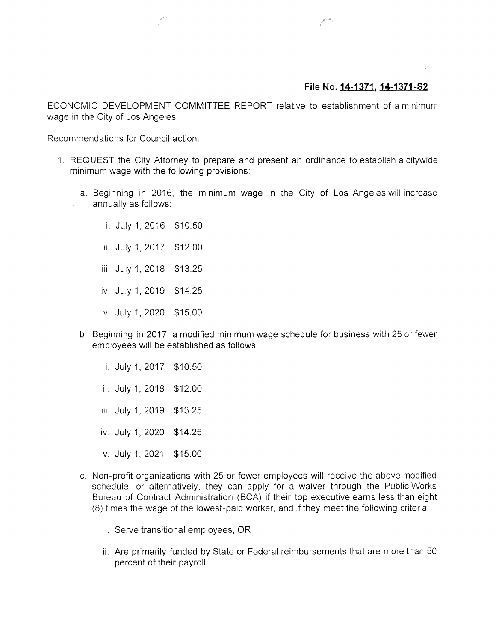## File No. 14-1371, 14-1371-S2

ECONOMIC DEVELOPMENT COMMITTEE REPORT relative to establishment of a minimum wage in the City of Los Angeles.

Recommendations for Council action:

- 1. REQUEST the City Attorney to prepare and present an ordinance to establish a citywide minimum wage with the following provisions:
	- a. Beginning in 2016, the minimum wage in the City of Los Angeles will increase annually as follows:

i July 1, 2016 \$10.50 ii July 1, 2017 \$12.00 iii July 1, 2018 \$13.25 iv. July 1, 2019 \$14.25 v. July 1, 2020 \$15.00

- b. Beginning in 2017, a modified minimum wage schedule for business with 25 or fewer employees will be established as follows:
	- i. July 1, 2017 \$10.50 ii. July 1, 2018 \$12.00 iii. July 1, 2019 \$13.25 iv. July 1, 2020 \$14.25 v. July 1, 2021 \$15.00
- c. Non-profit organizations with 25 or fewer employees will receive the above modified schedule, or alternatively, they can apply for a waiver through the Public Works Bureau of Contract Administration (BCA) if their top executive earns less than eight (8) times the wage of the lowest-paid worker, and if they meet the following criteria:
	- i. Serve transitional employees, OR
	- ii. Are primarily funded by State or Federal reimbursements that are more than 50 percent of their payroll.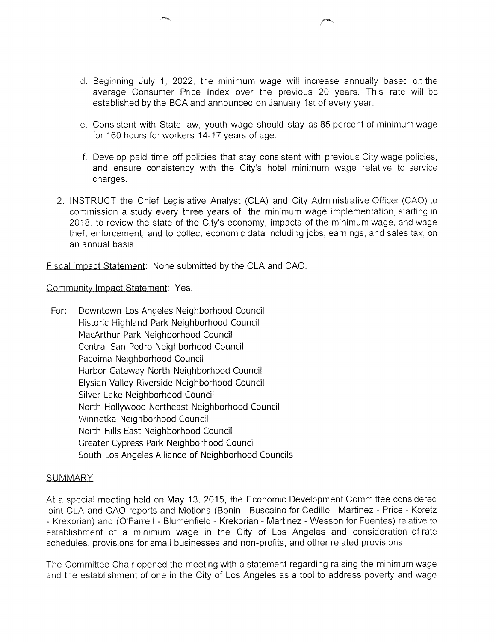- d. Beginning July 1, 2022, the minimum wage will increase annually based on the average Consumer Price Index over the previous 20 years. This rate will be established by the BCA and announced on January 1st of every year.
- e. Consistent with State law, youth wage should stay as 85 percent of minimum wage for 160 hours for workers 14-17 years of age.
- f. Develop paid time off policies that stay consistent with previous City wage policies, and ensure consistency with the City's hotel minimum wage relative to service charges.
- 2. INSTRUCT the Chief Legislative Analyst (CLA) and City Administrative Officer (CAO) to commission a study every three years of the minimum wage implementation, starting in 2018, to review the state of the City's economy, impacts of the minimum wage, and wage theft enforcement; and to collect economic data including jobs, earnings, and sales tax, on an annual basis.

Fiscal Impact Statement: None submitted by the CLA and CAO.

Community Impact Statement: Yes.

For: Downtown Los Angeles Neighborhood Council Historic Highland Park Neighborhood Council MacArthur Park Neighborhood Council Central San Pedro Neighborhood Council Pacoima Neighborhood Council Harbor Gateway North Neighborhood Council Elysian Valley Riverside Neighborhood Council Silver Lake Neighborhood Council North Hollywood Northeast Neighborhood Council Winnetka Neighborhood Council North Hills East Neighborhood Council Greater Cypress Park Neighborhood Council South Los Angeles Alliance of Neighborhood Councils

## **SUMMARY**

At a special meeting held on May 13, 2015, the Economic Development Committee considered joint CLA and CAO reports and Motions (Bonin - Buscaino for Cedillo - Martinez - Price - Koretz - Krekorian) and (O'Farrell - Blumenfield - Krekorian - Martinez - Wesson for Fuentes) relative to establishment of a minimum wage in the City of Los Angeles and consideration of rate schedules, provisions for small businesses and non-profits, and other related provisions.

The Committee Chair opened the meeting with a statement regarding raising the minimum wage and the establishment of one in the City of Los Angeles as a tool to address poverty and wage